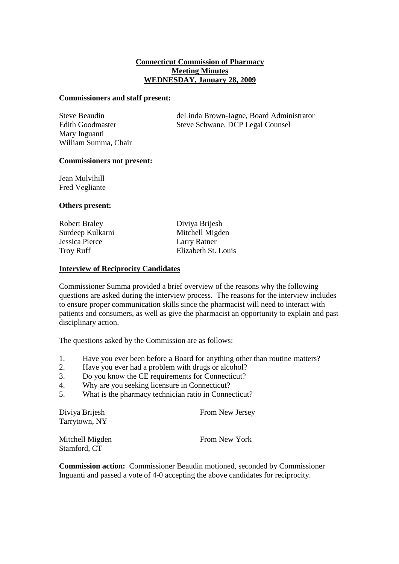## **Connecticut Commission of Pharmacy Meeting Minutes WEDNESDAY, January 28, 2009**

#### **Commissioners and staff present:**

Mary Inguanti William Summa, Chair

Steve Beaudin deLinda Brown-Jagne, Board Administrator Edith Goodmaster Steve Schwane, DCP Legal Counsel

### **Commissioners not present:**

Jean Mulvihill Fred Vegliante

### **Others present:**

| Robert Braley    | Diviya Brijesh      |
|------------------|---------------------|
| Surdeep Kulkarni | Mitchell Migden     |
| Jessica Pierce   | Larry Ratner        |
| Troy Ruff        | Elizabeth St. Louis |
|                  |                     |

### **Interview of Reciprocity Candidates**

Commissioner Summa provided a brief overview of the reasons why the following questions are asked during the interview process. The reasons for the interview includes to ensure proper communication skills since the pharmacist will need to interact with patients and consumers, as well as give the pharmacist an opportunity to explain and past disciplinary action.

The questions asked by the Commission are as follows:

- 1. Have you ever been before a Board for anything other than routine matters?
- 2. Have you ever had a problem with drugs or alcohol?
- 3. Do you know the CE requirements for Connecticut?
- 4. Why are you seeking licensure in Connecticut?
- 5. What is the pharmacy technician ratio in Connecticut?

| Diviya Brijesh  | From New Jersey |
|-----------------|-----------------|
| Tarrytown, NY   |                 |
| Mitchell Migden | From New York   |
| Stamford, CT    |                 |

**Commission action:** Commissioner Beaudin motioned, seconded by Commissioner Inguanti and passed a vote of 4-0 accepting the above candidates for reciprocity.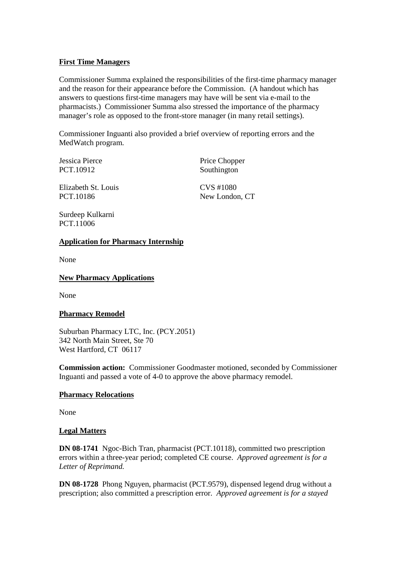# **First Time Managers**

Commissioner Summa explained the responsibilities of the first-time pharmacy manager and the reason for their appearance before the Commission. (A handout which has answers to questions first-time managers may have will be sent via e-mail to the pharmacists.) Commissioner Summa also stressed the importance of the pharmacy manager's role as opposed to the front-store manager (in many retail settings).

Commissioner Inguanti also provided a brief overview of reporting errors and the MedWatch program.

PCT.10912 Southington

Jessica Pierce Price Chopper

Elizabeth St. Louis CVS #1080 PCT.10186 New London, CT

Surdeep Kulkarni PCT.11006

## **Application for Pharmacy Internship**

None

## **New Pharmacy Applications**

None

## **Pharmacy Remodel**

Suburban Pharmacy LTC, Inc. (PCY.2051) 342 North Main Street, Ste 70 West Hartford, CT 06117

**Commission action:** Commissioner Goodmaster motioned, seconded by Commissioner Inguanti and passed a vote of 4-0 to approve the above pharmacy remodel.

## **Pharmacy Relocations**

None

## **Legal Matters**

**DN 08-1741** Ngoc-Bich Tran, pharmacist (PCT.10118), committed two prescription errors within a three-year period; completed CE course. *Approved agreement is for a Letter of Reprimand.*

**DN 08-1728** Phong Nguyen, pharmacist (PCT.9579), dispensed legend drug without a prescription; also committed a prescription error. *Approved agreement is for a stayed*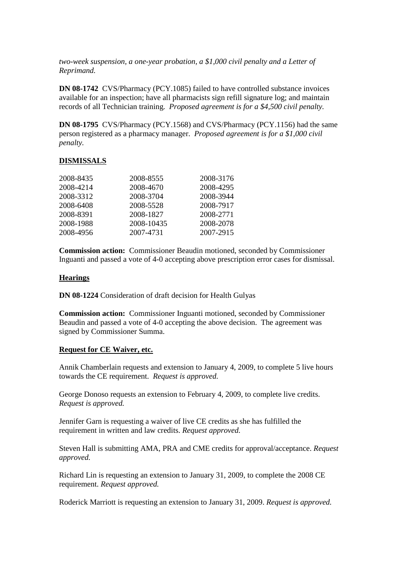*two-week suspension, a one-year probation, a \$1,000 civil penalty and a Letter of Reprimand.*

**DN 08-1742** CVS/Pharmacy (PCY.1085) failed to have controlled substance invoices available for an inspection; have all pharmacists sign refill signature log; and maintain records of all Technician training. *Proposed agreement is for a \$4,500 civil penalty.*

**DN 08-1795** CVS/Pharmacy (PCY.1568) and CVS/Pharmacy (PCY.1156) had the same person registered as a pharmacy manager. *Proposed agreement is for a \$1,000 civil penalty.*

## **DISMISSALS**

| 2008-8435 | 2008-8555  | 2008-3176 |
|-----------|------------|-----------|
| 2008-4214 | 2008-4670  | 2008-4295 |
| 2008-3312 | 2008-3704  | 2008-3944 |
| 2008-6408 | 2008-5528  | 2008-7917 |
| 2008-8391 | 2008-1827  | 2008-2771 |
| 2008-1988 | 2008-10435 | 2008-2078 |
| 2008-4956 | 2007-4731  | 2007-2915 |

**Commission action:** Commissioner Beaudin motioned, seconded by Commissioner Inguanti and passed a vote of 4-0 accepting above prescription error cases for dismissal.

### **Hearings**

**DN 08-1224** Consideration of draft decision for Health Gulyas

**Commission action:** Commissioner Inguanti motioned, seconded by Commissioner Beaudin and passed a vote of 4-0 accepting the above decision. The agreement was signed by Commissioner Summa.

#### **Request for CE Waiver, etc.**

Annik Chamberlain requests and extension to January 4, 2009, to complete 5 live hours towards the CE requirement. *Request is approved.*

George Donoso requests an extension to February 4, 2009, to complete live credits. *Request is approved.*

Jennifer Garn is requesting a waiver of live CE credits as she has fulfilled the requirement in written and law credits. *Request approved.*

Steven Hall is submitting AMA, PRA and CME credits for approval/acceptance. *Request approved.*

Richard Lin is requesting an extension to January 31, 2009, to complete the 2008 CE requirement. *Request approved.*

Roderick Marriott is requesting an extension to January 31, 2009. *Request is approved.*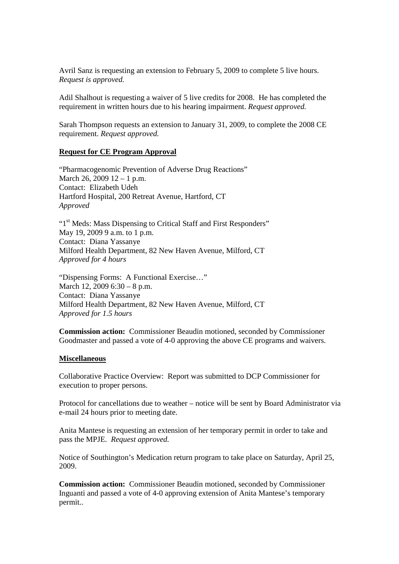Avril Sanz is requesting an extension to February 5, 2009 to complete 5 live hours. *Request is approved.*

Adil Shalhout is requesting a waiver of 5 live credits for 2008. He has completed the requirement in written hours due to his hearing impairment. *Request approved.*

Sarah Thompson requests an extension to January 31, 2009, to complete the 2008 CE requirement. *Request approved.*

### **Request for CE Program Approval**

"Pharmacogenomic Prevention of Adverse Drug Reactions" March 26, 2009 12 – 1 p.m. Contact: Elizabeth Udeh Hartford Hospital, 200 Retreat Avenue, Hartford, CT *Approved*

"1<sup>st</sup> Meds: Mass Dispensing to Critical Staff and First Responders" May 19, 2009 9 a.m. to 1 p.m. Contact: Diana Yassanye Milford Health Department, 82 New Haven Avenue, Milford, CT *Approved for 4 hours*

"Dispensing Forms: A Functional Exercise…" March 12, 2009 6:30 – 8 p.m. Contact: Diana Yassanye Milford Health Department, 82 New Haven Avenue, Milford, CT *Approved for 1.5 hours*

**Commission action:** Commissioner Beaudin motioned, seconded by Commissioner Goodmaster and passed a vote of 4-0 approving the above CE programs and waivers.

#### **Miscellaneous**

Collaborative Practice Overview: Report was submitted to DCP Commissioner for execution to proper persons.

Protocol for cancellations due to weather – notice will be sent by Board Administrator via e-mail 24 hours prior to meeting date.

Anita Mantese is requesting an extension of her temporary permit in order to take and pass the MPJE. *Request approved.*

Notice of Southington's Medication return program to take place on Saturday, April 25, 2009.

**Commission action:** Commissioner Beaudin motioned, seconded by Commissioner Inguanti and passed a vote of 4-0 approving extension of Anita Mantese's temporary permit..